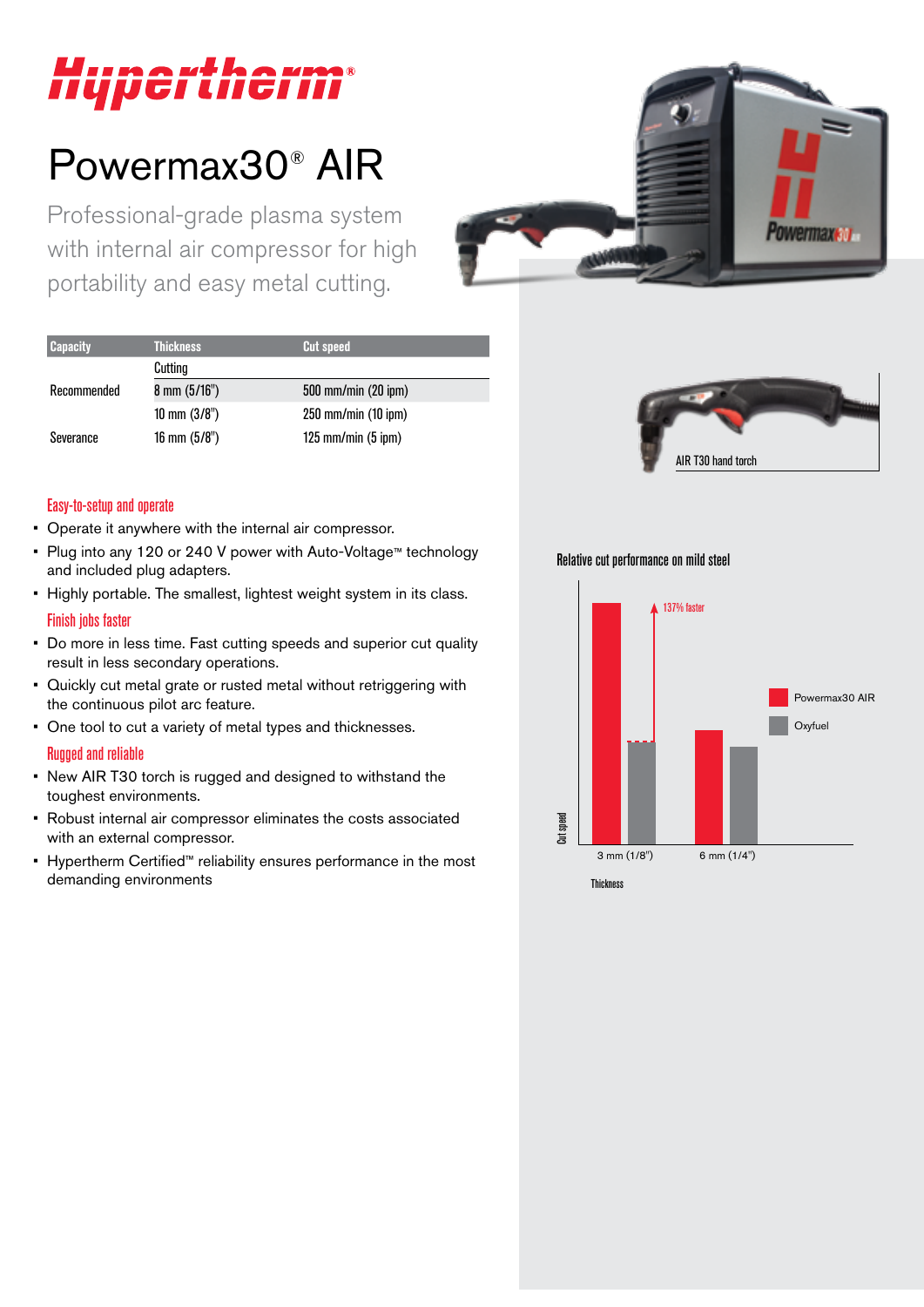# Hypertherm®

## Powermax30® AIR

Professional-grade plasma system with internal air compressor for high portability and easy metal cutting.



| <b>Capacity</b> | <b>Thickness</b>        | <b>Cut speed</b>        |  |  |
|-----------------|-------------------------|-------------------------|--|--|
|                 | Cutting                 |                         |  |  |
| Recommended     | $8 \text{ mm } (5/16")$ | 500 mm/min (20 ipm)     |  |  |
|                 | 10 mm $(3/8")$          | $250$ mm/min $(10$ ipm) |  |  |
| Severance       | $16$ mm $(5/8")$        | $125$ mm/min $(5$ ipm)  |  |  |



#### Easy-to-setup and operate

- Operate it anywhere with the internal air compressor.
- Plug into any 120 or 240 V power with Auto-Voltage™ technology and included plug adapters.
- Highly portable. The smallest, lightest weight system in its class. Finish jobs faster
- Do more in less time. Fast cutting speeds and superior cut quality result in less secondary operations.
- Quickly cut metal grate or rusted metal without retriggering with the continuous pilot arc feature.
- One tool to cut a variety of metal types and thicknesses.

#### Rugged and reliable

- New AIR T30 torch is rugged and designed to withstand the toughest environments.
- Robust internal air compressor eliminates the costs associated with an external compressor.
- Hypertherm Certified™ reliability ensures performance in the most demanding environments

Relative cut performance on mild steel

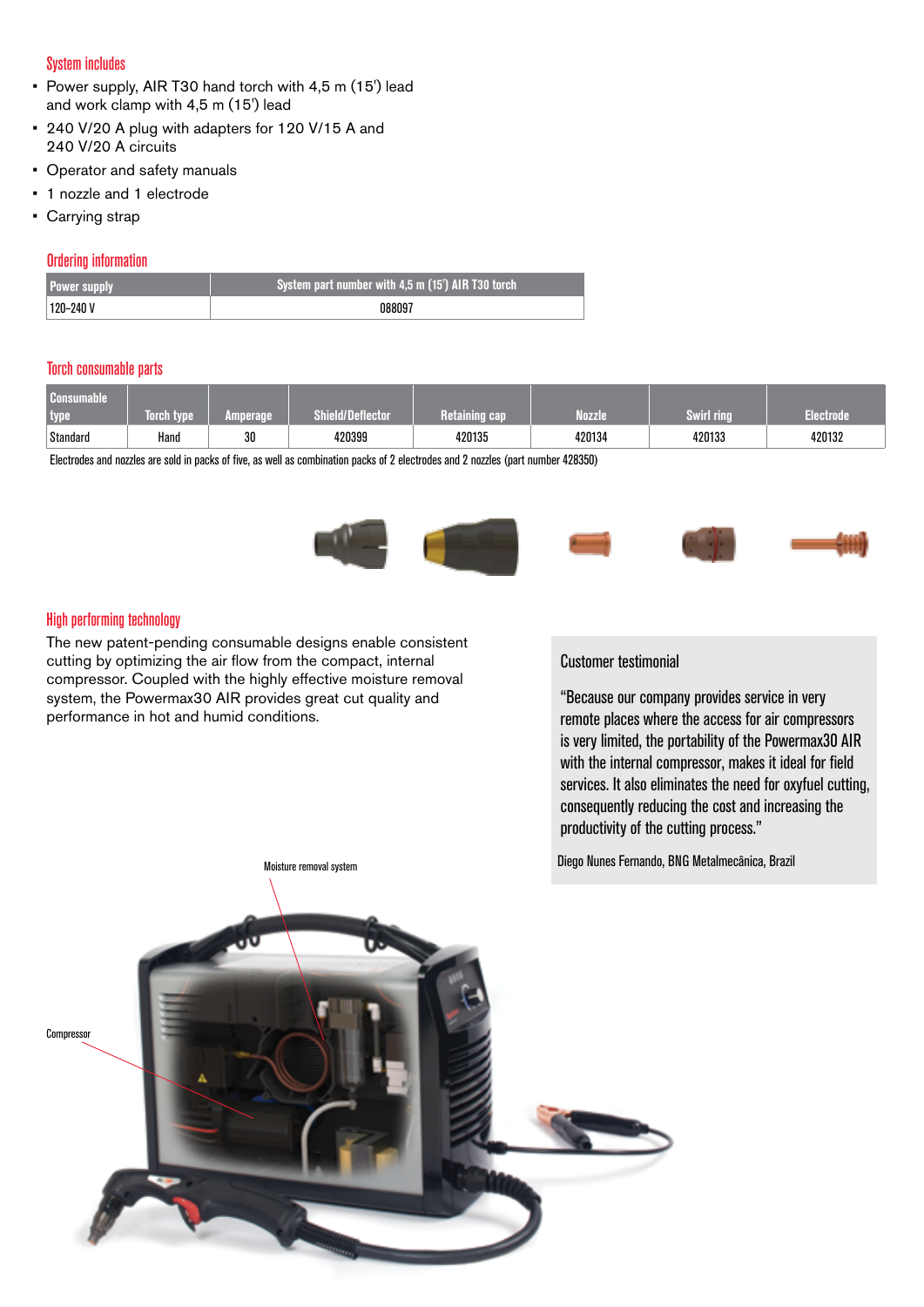#### System includes

- Power supply, AIR T30 hand torch with 4,5 m (15') lead and work clamp with 4,5 m (15') lead
- 240 V/20 A plug with adapters for 120 V/15 A and 240 V/20 A circuits
- Operator and safety manuals
- 1 nozzle and 1 electrode
- Carrying strap

#### Ordering information

| <b>Power supply</b> | System part number with 4,5 m (15') AIR T30 torch |  |
|---------------------|---------------------------------------------------|--|
| $120 - 240V$        | N88097                                            |  |

#### Torch consumable parts

| Consumable<br>type | <b>Torch type</b> | Amperage | <b>Shield/Deflector</b> | <b>L</b> cap<br>Retalning | <b>Nozzle</b> | Swirl rina | Electrode |
|--------------------|-------------------|----------|-------------------------|---------------------------|---------------|------------|-----------|
| Standard           | Hand              | 30       | 420399                  | 420135                    | 420134        | 420133     | 420132    |

Electrodes and nozzles are sold in packs of five, as well as combination packs of 2 electrodes and 2 nozzles (part number 428350)

![](_page_1_Picture_11.jpeg)

#### High performing technology

The new patent-pending consumable designs enable consistent cutting by optimizing the air flow from the compact, internal compressor. Coupled with the highly effective moisture removal system, the Powermax30 AIR provides great cut quality and performance in hot and humid conditions.

#### Customer testimonial

"Because our company provides service in very remote places where the access for air compressors is very limited, the portability of the Powermax30 AIR with the internal compressor, makes it ideal for field services. It also eliminates the need for oxyfuel cutting, consequently reducing the cost and increasing the productivity of the cutting process."

Diego Nunes Fernando, BNG Metalmecânica, Brazil

![](_page_1_Picture_17.jpeg)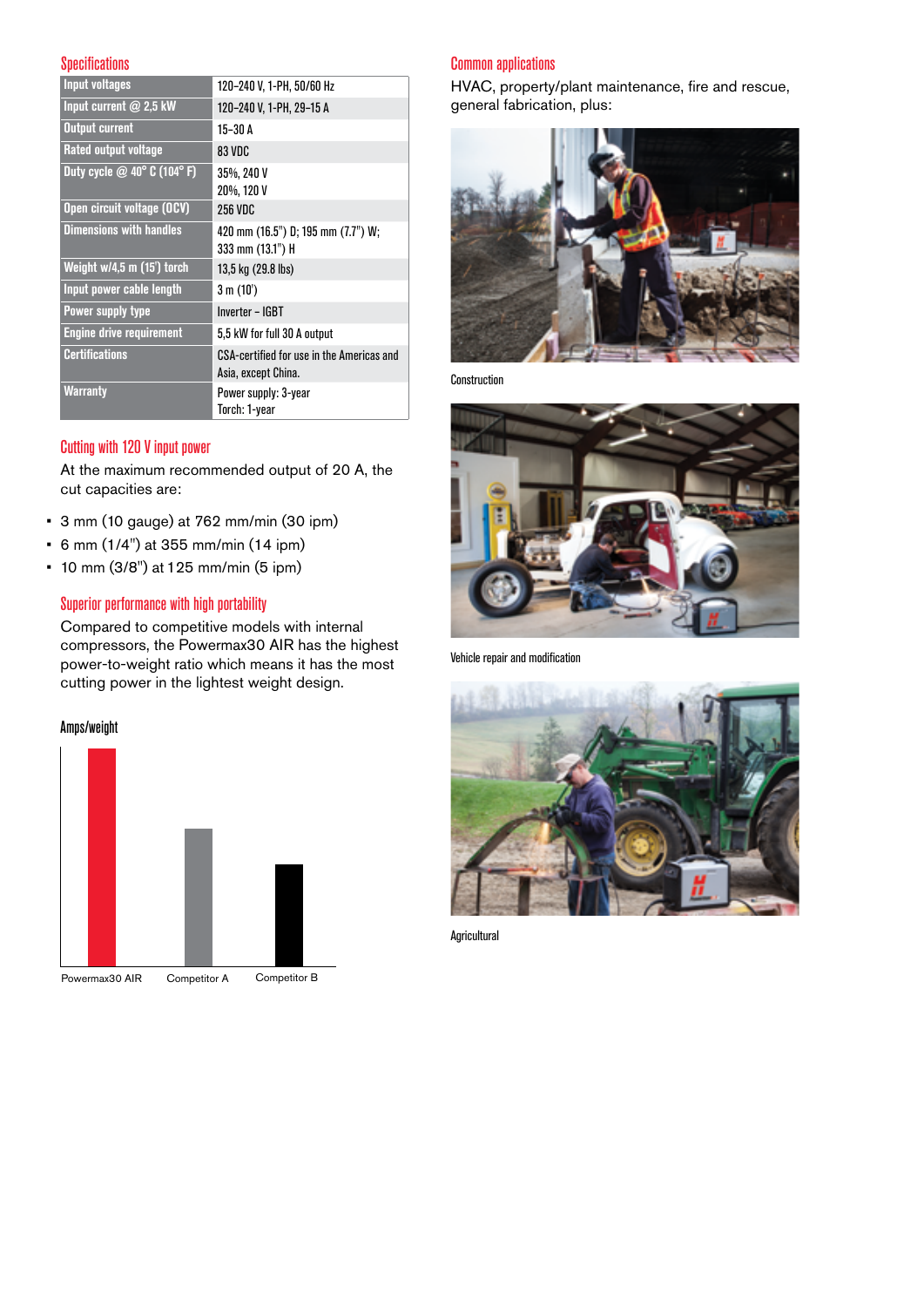#### **Specifications**

| <b>Input voltages</b>          | 120-240 V, 1-PH, 50/60 Hz                                        |
|--------------------------------|------------------------------------------------------------------|
| Input current $@$ 2,5 kW       | 120-240 V, 1-PH, 29-15 A                                         |
| <b>Output current</b>          | $15-30$ A                                                        |
| Rated output voltage           | 83 VDC                                                           |
| Duty cycle @ 40° C (104°F)     | 35%, 240 V<br>20%, 120 V                                         |
| Open circuit voltage (OCV)     | <b>256 VDC</b>                                                   |
| <b>Dimensions with handles</b> | 420 mm (16.5") D; 195 mm (7.7") W;<br>333 mm (13.1") H           |
| Weight w/4,5 m (15') torch     | 13,5 kg (29.8 lbs)                                               |
| Input power cable length       | 3 m (10')                                                        |
| Power supply type              | Inverter - IGBT                                                  |
| Engine drive requirement       | 5,5 kW for full 30 A output                                      |
| <b>Certifications</b>          | CSA-certified for use in the Americas and<br>Asia, except China. |
| <b>Warranty</b>                | Power supply: 3-year<br>Torch: 1-year                            |

#### Cutting with 120 V input power

At the maximum recommended output of 20 A, the cut capacities are:

- 3 mm (10 gauge) at 762 mm/min (30 ipm)
- 6 mm (1/4") at 355 mm/min (14 ipm)
- 10 mm (3/8") at 125 mm/min (5 ipm)

#### Superior performance with high portability

Compared to competitive models with internal compressors, the Powermax30 AIR has the highest power-to-weight ratio which means it has the most cutting power in the lightest weight design.

#### Amps/weight

![](_page_2_Figure_10.jpeg)

#### Common applications

HVAC, property/plant maintenance, fire and rescue, general fabrication, plus:

![](_page_2_Picture_13.jpeg)

Construction

![](_page_2_Picture_15.jpeg)

Vehicle repair and modification

![](_page_2_Picture_17.jpeg)

**Agricultural**